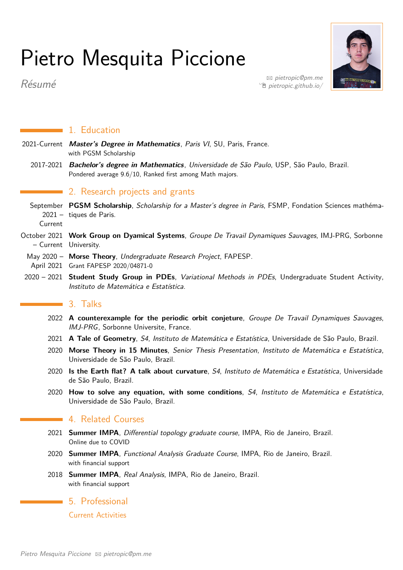# Pietro Mesquita Piccione



B [pietropic@pm.me](mailto:pietropic@pm.me)  $\hat{\mathbb{E}}$  [pietropic.github.io/](http://pietropic.github.io/)

Résumé

1. Education

- 2021-Current **Master's Degree in Mathematics**, Paris VI, SU, Paris, France. with PGSM Scholarship
- 2017-2021 **Bachelor's degree in Mathematics**, Universidade de São Paulo, USP, São Paulo, Brazil. Pondered average 9.6/10, Ranked first among Math majors.

## ■ 2. Research projects and grants

- September **PGSM Scholarship**, Scholarship for a Master's degree in Paris, FSMP, Fondation Sciences mathéma-2021 – tiques de Paris.
	- Current
- October 2021 **Work Group on Dyamical Systems**, Groupe De Travail Dynamiques Sauvages, IMJ-PRG, Sorbonne – Current University.
- May 2020 **Morse Theory**, Undergraduate Research Project, FAPESP. April 2021 Grant FAPESP 2020/04871-0
- 2020 2021 **Student Study Group in PDEs**, Variational Methods in PDEs, Undergraduate Student Activity, Instituto de Matemática e Estatística.

### $\blacksquare$  3. Talks

- 2022 **A counterexample for the periodic orbit conjeture**, Groupe De Travail Dynamiques Sauvages, IMJ-PRG, Sorbonne Universite, France.
- 2021 **A Tale of Geometry**, S4, Instituto de Matemática e Estatística, Universidade de São Paulo, Brazil.
- 2020 **Morse Theory in 15 Minutes**, Senior Thesis Presentation, Instituto de Matemática e Estatística, Universidade de São Paulo, Brazil.
- 2020 **Is the Earth flat? A talk about curvature**, S4, Instituto de Matemática e Estatística, Universidade de São Paulo, Brazil.
- 2020 **How to solve any equation, with some conditions**, S4, Instituto de Matemática e Estatística, Universidade de São Paulo, Brazil.

# **4. Related Courses**

- 2021 **Summer IMPA**, Differential topology graduate course, IMPA, Rio de Janeiro, Brazil. Online due to COVID
- 2020 **Summer IMPA**, Functional Analysis Graduate Course, IMPA, Rio de Janeiro, Brazil. with financial support
- 2018 **Summer IMPA**, Real Analysis, IMPA, Rio de Janeiro, Brazil. with financial support

5. Professional

Current Activities